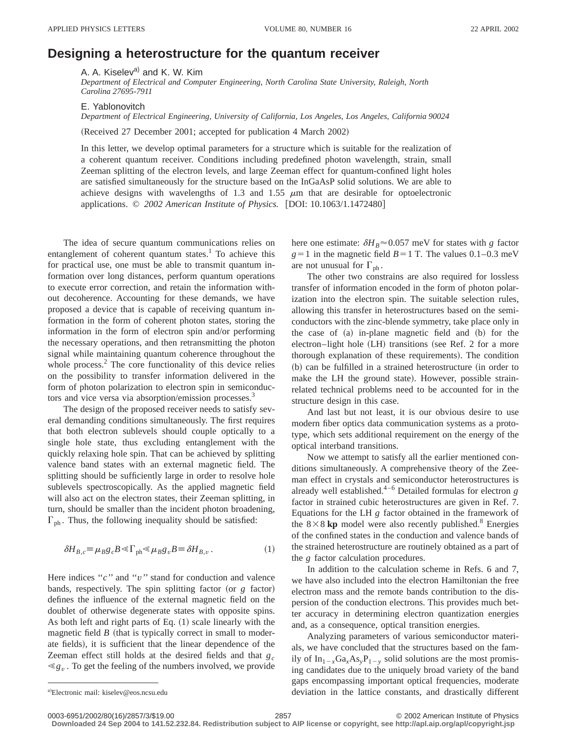## **Designing a heterostructure for the quantum receiver**

A. A. Kiselev<sup>a)</sup> and K. W. Kim

*Department of Electrical and Computer Engineering, North Carolina State University, Raleigh, North Carolina 27695-7911*

E. Yablonovitch

*Department of Electrical Engineering, University of California, Los Angeles, Los Angeles, California 90024*

(Received 27 December 2001; accepted for publication 4 March 2002)

In this letter, we develop optimal parameters for a structure which is suitable for the realization of a coherent quantum receiver. Conditions including predefined photon wavelength, strain, small Zeeman splitting of the electron levels, and large Zeeman effect for quantum-confined light holes are satisfied simultaneously for the structure based on the InGaAsP solid solutions. We are able to achieve designs with wavelengths of 1.3 and 1.55  $\mu$ m that are desirable for optoelectronic applications. © 2002 American Institute of Physics. [DOI: 10.1063/1.1472480]

The idea of secure quantum communications relies on entanglement of coherent quantum states.<sup>1</sup> To achieve this for practical use, one must be able to transmit quantum information over long distances, perform quantum operations to execute error correction, and retain the information without decoherence. Accounting for these demands, we have proposed a device that is capable of receiving quantum information in the form of coherent photon states, storing the information in the form of electron spin and/or performing the necessary operations, and then retransmitting the photon signal while maintaining quantum coherence throughout the whole process. $<sup>2</sup>$  The core functionality of this device relies</sup> on the possibility to transfer information delivered in the form of photon polarization to electron spin in semiconductors and vice versa via absorption/emission processes.<sup>3</sup>

The design of the proposed receiver needs to satisfy several demanding conditions simultaneously. The first requires that both electron sublevels should couple optically to a single hole state, thus excluding entanglement with the quickly relaxing hole spin. That can be achieved by splitting valence band states with an external magnetic field. The splitting should be sufficiently large in order to resolve hole sublevels spectroscopically. As the applied magnetic field will also act on the electron states, their Zeeman splitting, in turn, should be smaller than the incident photon broadening,  $\Gamma_{ph}$ . Thus, the following inequality should be satisfied:

$$
\delta H_{B,c} = \mu_B g_c B \ll \Gamma_{ph} \ll \mu_B g_v B \equiv \delta H_{B,v} . \tag{1}
$$

Here indices "*c*" and "*v*" stand for conduction and valence bands, respectively. The spin splitting factor (or  $g$  factor) defines the influence of the external magnetic field on the doublet of otherwise degenerate states with opposite spins. As both left and right parts of Eq.  $(1)$  scale linearly with the magnetic field  $B$  (that is typically correct in small to moderate fields), it is sufficient that the linear dependence of the Zeeman effect still holds at the desired fields and that *gc*  $\ll g_v$ . To get the feeling of the numbers involved, we provide here one estimate:  $\delta H_B \approx 0.057$  meV for states with *g* factor  $g=1$  in the magnetic field  $B=1$  T. The values 0.1–0.3 meV are not unusual for  $\Gamma_{ph}$ .

The other two constrains are also required for lossless transfer of information encoded in the form of photon polarization into the electron spin. The suitable selection rules, allowing this transfer in heterostructures based on the semiconductors with the zinc-blende symmetry, take place only in the case of  $(a)$  in-plane magnetic field and  $(b)$  for the electron–light hole (LH) transitions (see Ref. 2 for a more thorough explanation of these requirements). The condition (b) can be fulfilled in a strained heterostructure (in order to make the LH the ground state). However, possible strainrelated technical problems need to be accounted for in the structure design in this case.

And last but not least, it is our obvious desire to use modern fiber optics data communication systems as a prototype, which sets additional requirement on the energy of the optical interband transitions.

Now we attempt to satisfy all the earlier mentioned conditions simultaneously. A comprehensive theory of the Zeeman effect in crystals and semiconductor heterostructures is already well established.<sup>4–6</sup> Detailed formulas for electron  $g$ factor in strained cubic heterostructures are given in Ref. 7. Equations for the LH *g* factor obtained in the framework of the  $8 \times 8$  kp model were also recently published.<sup>8</sup> Energies of the confined states in the conduction and valence bands of the strained heterostructure are routinely obtained as a part of the *g* factor calculation procedures.

In addition to the calculation scheme in Refs. 6 and 7, we have also included into the electron Hamiltonian the free electron mass and the remote bands contribution to the dispersion of the conduction electrons. This provides much better accuracy in determining electron quantization energies and, as a consequence, optical transition energies.

Analyzing parameters of various semiconductor materials, we have concluded that the structures based on the family of  $In_{1-x}Ga_xAs_yP_{1-y}$  solid solutions are the most promising candidates due to the uniquely broad variety of the band gaps encompassing important optical frequencies, moderate deviation in the lattice constants, and drastically different

a)Electronic mail: kiselev@eos.ncsu.edu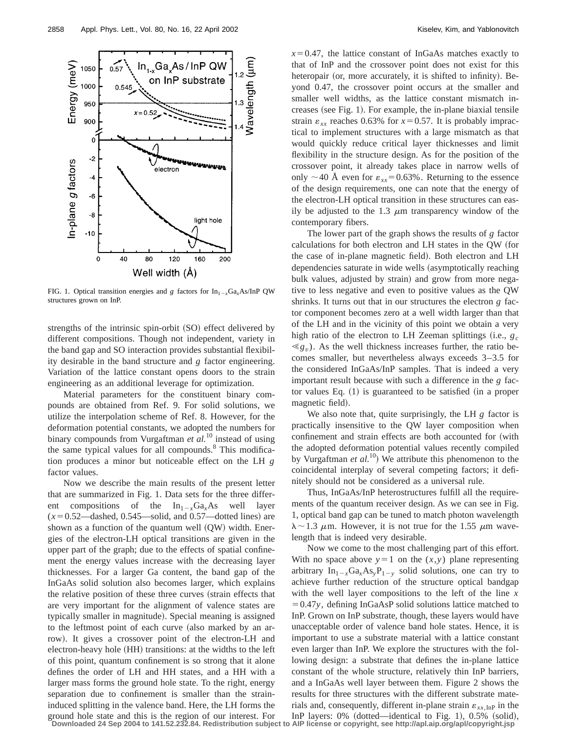

FIG. 1. Optical transition energies and *g* factors for  $In_{1-x}Ga_xAs/InP$  QW structures grown on InP.

strengths of the intrinsic spin-orbit  $(SO)$  effect delivered by different compositions. Though not independent, variety in the band gap and SO interaction provides substantial flexibility desirable in the band structure and *g* factor engineering. Variation of the lattice constant opens doors to the strain engineering as an additional leverage for optimization.

Material parameters for the constituent binary compounds are obtained from Ref. 9. For solid solutions, we utilize the interpolation scheme of Ref. 8. However, for the deformation potential constants, we adopted the numbers for binary compounds from Vurgaftman *et al.*<sup>10</sup> instead of using the same typical values for all compounds.<sup>8</sup> This modification produces a minor but noticeable effect on the LH *g* factor values.

Now we describe the main results of the present letter that are summarized in Fig. 1. Data sets for the three different compositions of the  $In_{1-x}Ga_xAs$  well layer  $(x=0.52$ —dashed, 0.545—solid, and 0.57—dotted lines) are shown as a function of the quantum well  $(QW)$  width. Energies of the electron-LH optical transitions are given in the upper part of the graph; due to the effects of spatial confinement the energy values increase with the decreasing layer thicknesses. For a larger Ga content, the band gap of the InGaAs solid solution also becomes larger, which explains the relative position of these three curves (strain effects that are very important for the alignment of valence states are typically smaller in magnitude). Special meaning is assigned to the leftmost point of each curve (also marked by an arrow). It gives a crossover point of the electron-LH and electron-heavy hole (HH) transitions: at the widths to the left of this point, quantum confinement is so strong that it alone defines the order of LH and HH states, and a HH with a larger mass forms the ground hole state. To the right, energy separation due to confinement is smaller than the straininduced splitting in the valence band. Here, the LH forms the ground hole state and this is the region of our interest. For  $x=0.47$ , the lattice constant of InGaAs matches exactly to that of InP and the crossover point does not exist for this heteropair (or, more accurately, it is shifted to infinity). Beyond 0.47, the crossover point occurs at the smaller and smaller well widths, as the lattice constant mismatch increases (see Fig. 1). For example, the in-plane biaxial tensile strain  $\varepsilon_{xx}$  reaches 0.63% for  $x=0.57$ . It is probably impractical to implement structures with a large mismatch as that would quickly reduce critical layer thicknesses and limit flexibility in the structure design. As for the position of the crossover point, it already takes place in narrow wells of only  $\sim$  40 Å even for  $\varepsilon_{xx}$ =0.63%. Returning to the essence of the design requirements, one can note that the energy of the electron-LH optical transition in these structures can easily be adjusted to the 1.3  $\mu$ m transparency window of the contemporary fibers.

The lower part of the graph shows the results of *g* factor calculations for both electron and LH states in the QW (for the case of in-plane magnetic field). Both electron and LH dependencies saturate in wide wells (asymptotically reaching bulk values, adjusted by strain) and grow from more negative to less negative and even to positive values as the QW shrinks. It turns out that in our structures the electron *g* factor component becomes zero at a well width larger than that of the LH and in the vicinity of this point we obtain a very high ratio of the electron to LH Zeeman splittings  $(i.e., g_c)$  $\ll g_v$ ). As the well thickness increases further, the ratio becomes smaller, but nevertheless always exceeds 3–3.5 for the considered InGaAs/InP samples. That is indeed a very important result because with such a difference in the *g* factor values Eq.  $(1)$  is guaranteed to be satisfied  $(in a proper)$ magnetic field).

We also note that, quite surprisingly, the LH *g* factor is practically insensitive to the QW layer composition when confinement and strain effects are both accounted for (with the adopted deformation potential values recently compiled by Vurgaftman *et al.*<sup>10</sup>) We attribute this phenomenon to the coincidental interplay of several competing factors; it definitely should not be considered as a universal rule.

Thus, InGaAs/InP heterostructures fulfill all the requirements of the quantum receiver design. As we can see in Fig. 1, optical band gap can be tuned to match photon wavelength  $\lambda \sim 1.3$   $\mu$ m. However, it is not true for the 1.55  $\mu$ m wavelength that is indeed very desirable.

Now we come to the most challenging part of this effort. With no space above  $y=1$  on the  $(x,y)$  plane representing arbitrary  $In_{1-x}Ga_xAs_yP_{1-y}$  solid solutions, one can try to achieve further reduction of the structure optical bandgap with the well layer compositions to the left of the line *x* 50.47*y*, defining InGaAsP solid solutions lattice matched to InP. Grown on InP substrate, though, these layers would have unacceptable order of valence band hole states. Hence, it is important to use a substrate material with a lattice constant even larger than InP. We explore the structures with the following design: a substrate that defines the in-plane lattice constant of the whole structure, relatively thin InP barriers, and a InGaAs well layer between them. Figure 2 shows the results for three structures with the different substrate materials and, consequently, different in-plane strain  $\varepsilon_{xx,InP}$  in the InP layers:  $0\%$  (dotted—identical to Fig. 1),  $0.5\%$  (solid).